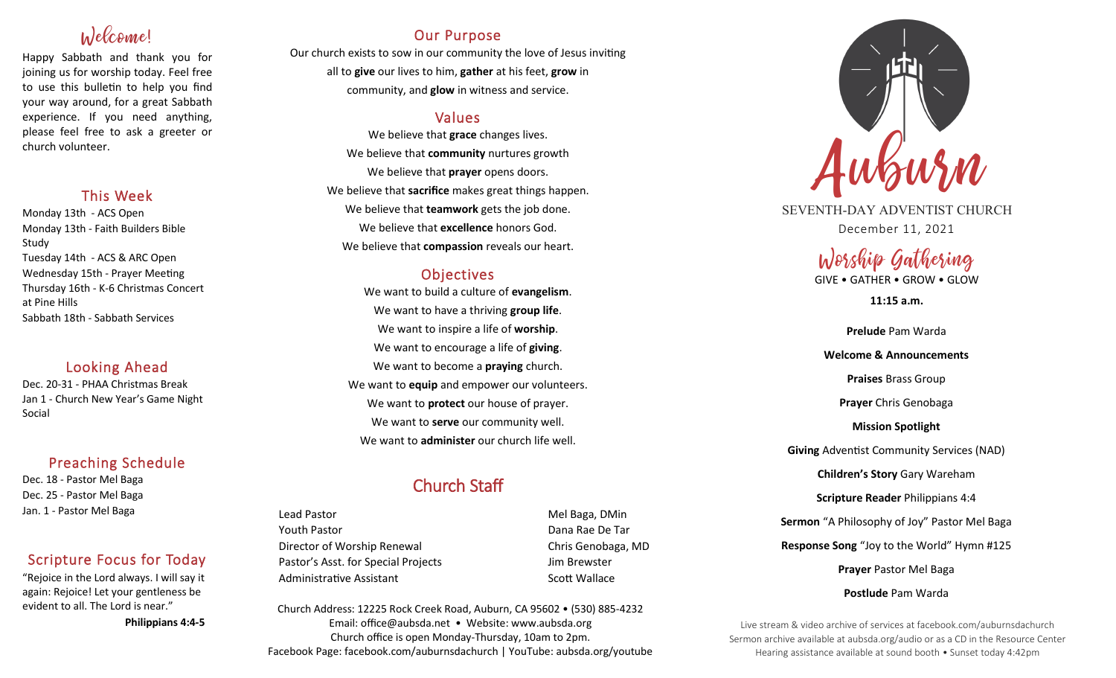# Welcome!

Happy Sabbath and thank you for joining us for worship today. Feel free to use this bulletin to help you find your way around, for a great Sabbath experience. If you need anything, please feel free to ask a greeter or church volunteer.

## This Week

Monday 13th - ACS Open Monday 13th - Faith Builders Bible Study Tuesday 14th - ACS & ARC Open Wednesday 15th - Prayer Meeting Thursday 16th - K-6 Christmas Concert at Pine Hills Sabbath 18th - Sabbath Services

# Looking Ahead

Dec. 20-31 - PHAA Christmas Break Jan 1 - Church New Year's Game Night Social

# Preaching Schedule

Dec. 18 - Pastor Mel Baga Dec. 25 - Pastor Mel Baga Jan. 1 - Pastor Mel Baga

# Scripture Focus for Today

"Rejoice in the Lord always. I will say it again: Rejoice! Let your gentleness be evident to all. The Lord is near."

 **Philippians 4:4-5**

# Our Purpose

Our church exists to sow in our community the love of Jesus inviting all to **give** our lives to him, **gather** at his feet, **grow** in community, and **glow** in witness and service.

# Values

We believe that **grace** changes lives. We believe that **community** nurtures growth We believe that **prayer** opens doors. We believe that **sacrifice** makes great things happen. We believe that **teamwork** gets the job done. We believe that **excellence** honors God. We believe that **compassion** reveals our heart.

# **Objectives**

We want to build a culture of **evangelism**. We want to have a thriving **group life**. We want to inspire a life of **worship**. We want to encourage a life of **giving**. We want to become a **praying** church. We want to **equip** and empower our volunteers. We want to **protect** our house of prayer. We want to **serve** our community well. We want to **administer** our church life well.

# Church Staff

Lead Pastor **Mel Baga, DMin** Youth Pastor Dana Rae De Tar Director of Worship Renewal Chris Genobaga, MD Pastor's Asst. for Special Projects Fig. 3.1 Jim Brewster Administrative Assistant National Controllery Scott Wallace

Church Address: 12225 Rock Creek Road, Auburn, CA 95602 • (530) 885-4232 Email: office@aubsda.net • Website: www.aubsda.org Church office is open Monday-Thursday, 10am to 2pm. Facebook Page: facebook.com/auburnsdachurch | YouTube: aubsda.org/youtube



SEVENTH-DAY ADVENTIST CHURCH December 11, 2021

# Worship Gathering

GIVE • GATHER • GROW • GLOW

**11:15 a.m.**

**Prelude** Pam Warda **Welcome & Announcements Praises** Brass Group **Prayer** Chris Genobaga **Mission Spotlight Giving** Adventist Community Services (NAD) **Children's Story** Gary Wareham **Scripture Reader** Philippians 4:4 **Sermon** "A Philosophy of Joy" Pastor Mel Baga **Response Song** "Joy to the World" Hymn #125 **Prayer** Pastor Mel Baga **Postlude** Pam Warda

Live stream & video archive of services at facebook.com/auburnsdachurch Sermon archive available at aubsda.org/audio or as a CD in the Resource Center Hearing assistance available at sound booth • Sunset today 4:42pm